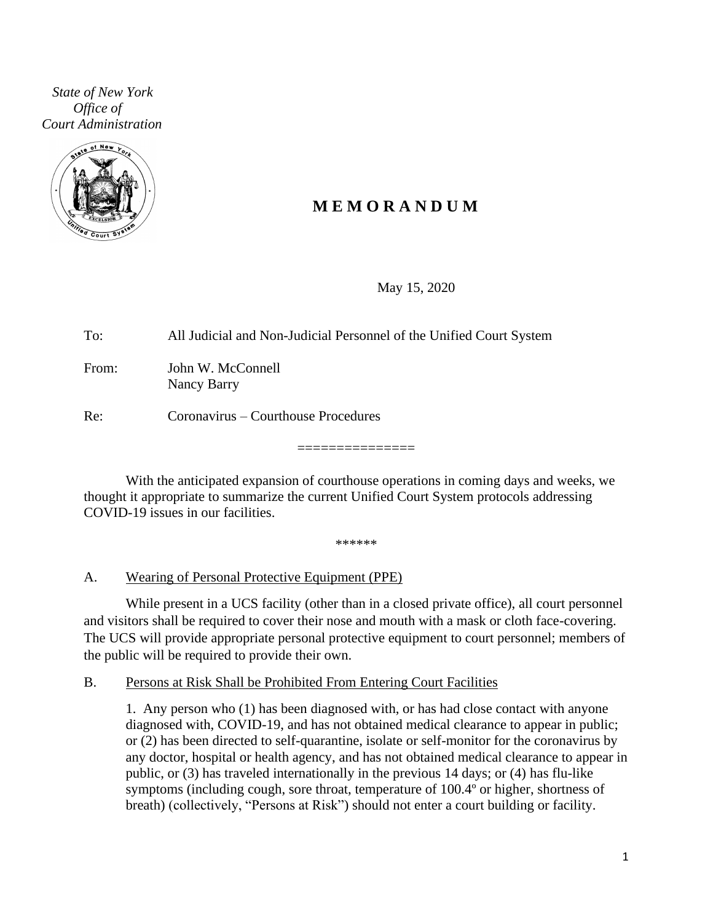*State of New York Office of Court Administration*



# **M E M O R A N D U M**

May 15, 2020

To: All Judicial and Non-Judicial Personnel of the Unified Court System From: John W. McConnell Nancy Barry Re: Coronavirus – Courthouse Procedures

With the anticipated expansion of courthouse operations in coming days and weeks, we thought it appropriate to summarize the current Unified Court System protocols addressing COVID-19 issues in our facilities.

===============

\*\*\*\*\*\*

### A. Wearing of Personal Protective Equipment (PPE)

While present in a UCS facility (other than in a closed private office), all court personnel and visitors shall be required to cover their nose and mouth with a mask or cloth face-covering. The UCS will provide appropriate personal protective equipment to court personnel; members of the public will be required to provide their own.

### B. Persons at Risk Shall be Prohibited From Entering Court Facilities

1. Any person who (1) has been diagnosed with, or has had close contact with anyone diagnosed with, COVID-19, and has not obtained medical clearance to appear in public; or (2) has been directed to self-quarantine, isolate or self-monitor for the coronavirus by any doctor, hospital or health agency, and has not obtained medical clearance to appear in public, or (3) has traveled internationally in the previous 14 days; or (4) has flu-like symptoms (including cough, sore throat, temperature of 100.4º or higher, shortness of breath) (collectively, "Persons at Risk") should not enter a court building or facility.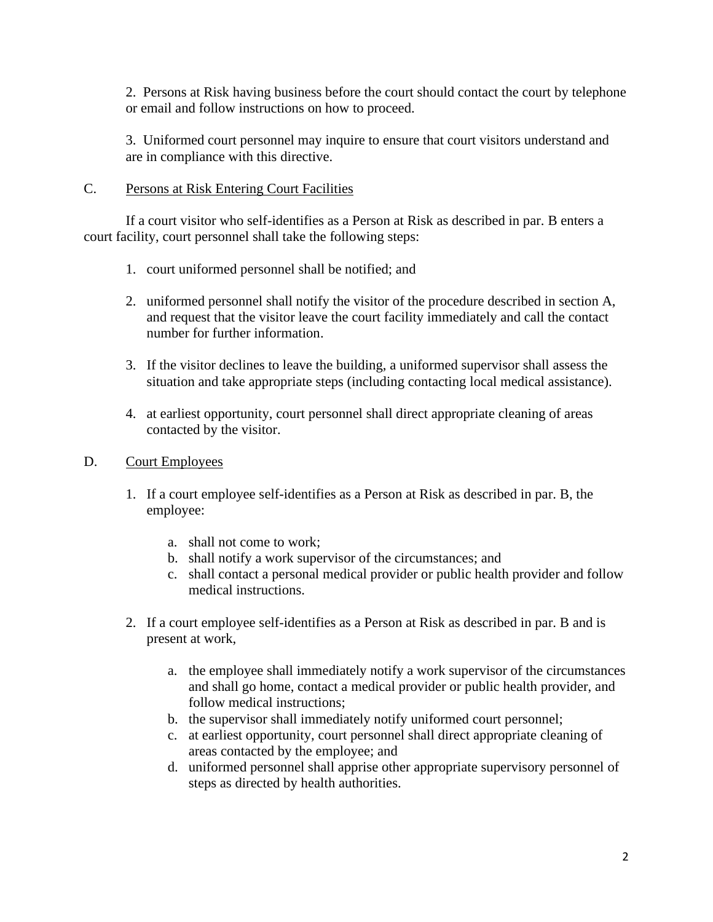2. Persons at Risk having business before the court should contact the court by telephone or email and follow instructions on how to proceed.

3. Uniformed court personnel may inquire to ensure that court visitors understand and are in compliance with this directive.

### C. Persons at Risk Entering Court Facilities

If a court visitor who self-identifies as a Person at Risk as described in par. B enters a court facility, court personnel shall take the following steps:

- 1. court uniformed personnel shall be notified; and
- 2. uniformed personnel shall notify the visitor of the procedure described in section A, and request that the visitor leave the court facility immediately and call the contact number for further information.
- 3. If the visitor declines to leave the building, a uniformed supervisor shall assess the situation and take appropriate steps (including contacting local medical assistance).
- 4. at earliest opportunity, court personnel shall direct appropriate cleaning of areas contacted by the visitor.

## D. Court Employees

- 1. If a court employee self-identifies as a Person at Risk as described in par. B, the employee:
	- a. shall not come to work;
	- b. shall notify a work supervisor of the circumstances; and
	- c. shall contact a personal medical provider or public health provider and follow medical instructions.
- 2. If a court employee self-identifies as a Person at Risk as described in par. B and is present at work,
	- a. the employee shall immediately notify a work supervisor of the circumstances and shall go home, contact a medical provider or public health provider, and follow medical instructions;
	- b. the supervisor shall immediately notify uniformed court personnel;
	- c. at earliest opportunity, court personnel shall direct appropriate cleaning of areas contacted by the employee; and
	- d. uniformed personnel shall apprise other appropriate supervisory personnel of steps as directed by health authorities.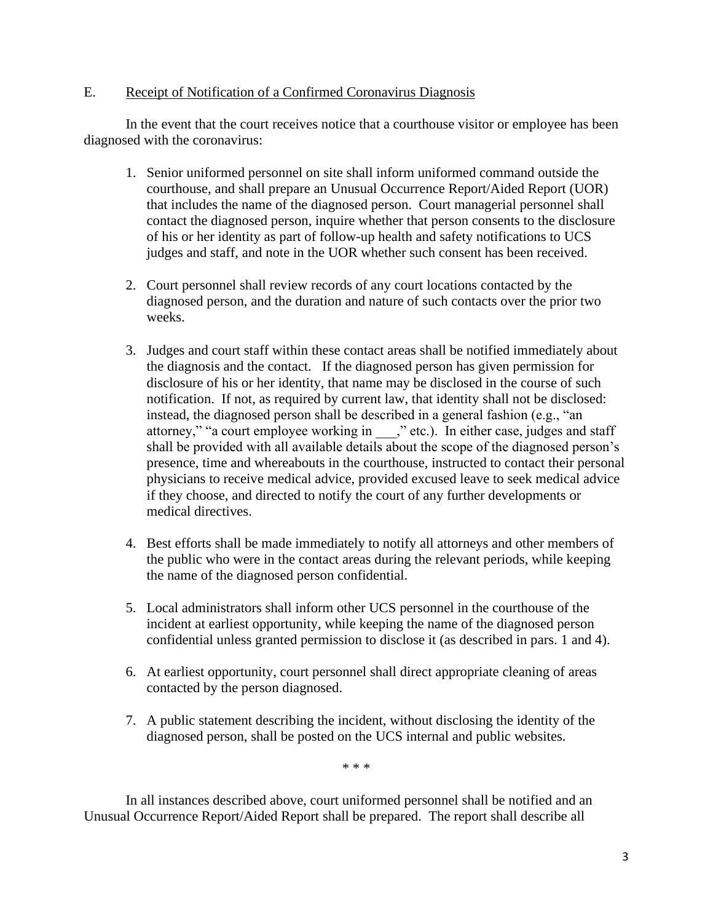### E. Receipt of Notification of a Confirmed Coronavirus Diagnosis

In the event that the court receives notice that a courthouse visitor or employee has been diagnosed with the coronavirus:

- 1. Senior uniformed personnel on site shall inform uniformed command outside the courthouse, and shall prepare an Unusual Occurrence Report/Aided Report (UOR) that includes the name of the diagnosed person. Court managerial personnel shall contact the diagnosed person, inquire whether that person consents to the disclosure of his or her identity as part of follow-up health and safety notifications to UCS judges and staff, and note in the UOR whether such consent has been received.
- 2. Court personnel shall review records of any court locations contacted by the diagnosed person, and the duration and nature of such contacts over the prior two weeks.
- 3. Judges and court staff within these contact areas shall be notified immediately about the diagnosis and the contact. If the diagnosed person has given permission for disclosure of his or her identity, that name may be disclosed in the course of such notification. If not, as required by current law, that identity shall not be disclosed: instead, the diagnosed person shall be described in a general fashion (e.g., "an attorney," "a court employee working in \_\_\_," etc.). In either case, judges and staff shall be provided with all available details about the scope of the diagnosed person's presence, time and whereabouts in the courthouse, instructed to contact their personal physicians to receive medical advice, provided excused leave to seek medical advice if they choose, and directed to notify the court of any further developments or medical directives.
- 4. Best efforts shall be made immediately to notify all attorneys and other members of the public who were in the contact areas during the relevant periods, while keeping the name of the diagnosed person confidential.
- 5. Local administrators shall inform other UCS personnel in the courthouse of the incident at earliest opportunity, while keeping the name of the diagnosed person confidential unless granted permission to disclose it (as described in pars. 1 and 4).
- 6. At earliest opportunity, court personnel shall direct appropriate cleaning of areas contacted by the person diagnosed.
- 7. A public statement describing the incident, without disclosing the identity of the diagnosed person, shall be posted on the UCS internal and public websites.

\* \* \*

In all instances described above, court uniformed personnel shall be notified and an Unusual Occurrence Report/Aided Report shall be prepared. The report shall describe all